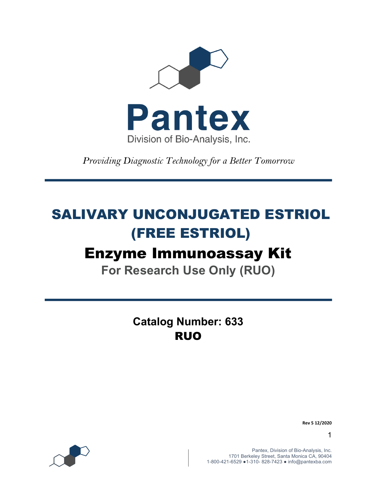

*Providing Diagnostic Technology for a Better Tomorrow* 

# SALIVARY UNCONJUGATED ESTRIOL (FREE ESTRIOL)

# Enzyme Immunoassay Kit

**For Research Use Only (RUO)**

**Catalog Number: 633** RUO



**Rev 5 12/2020**

1

Pantex, Division of Bio-Analysis, Inc. 1701 Berkeley Street, Santa Monica CA, 90404 1-800-421-6529 ●1-310- 828-7423 ● info@pantexba.com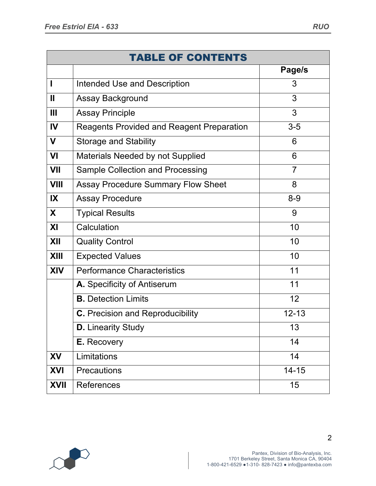|                         | <b>TABLE OF CONTENTS</b>                  |                |
|-------------------------|-------------------------------------------|----------------|
|                         |                                           | Page/s         |
|                         | Intended Use and Description              | 3              |
| Ш                       | <b>Assay Background</b>                   | 3              |
| Ш                       | <b>Assay Principle</b>                    | 3              |
| IV                      | Reagents Provided and Reagent Preparation | $3-5$          |
| $\mathbf v$             | <b>Storage and Stability</b>              | 6              |
| VI                      | Materials Needed by not Supplied          | 6              |
| VII                     | Sample Collection and Processing          | $\overline{7}$ |
| <b>VIII</b>             | <b>Assay Procedure Summary Flow Sheet</b> | 8              |
| $\mathsf{I} \mathsf{X}$ | <b>Assay Procedure</b>                    | $8 - 9$        |
| X                       | <b>Typical Results</b>                    | 9              |
| XI                      | Calculation                               | 10             |
| XII                     | <b>Quality Control</b>                    | 10             |
| XIII                    | <b>Expected Values</b>                    | 10             |
| <b>XIV</b>              | <b>Performance Characteristics</b>        | 11             |
|                         | A. Specificity of Antiserum               | 11             |
|                         | <b>B.</b> Detection Limits                | 12             |
|                         | <b>C.</b> Precision and Reproducibility   | $12 - 13$      |
|                         | <b>D.</b> Linearity Study                 | 13             |
|                         | E. Recovery                               | 14             |
| XV                      | Limitations                               | 14             |
| <b>XVI</b>              | <b>Precautions</b>                        | $14 - 15$      |
| <b>XVII</b>             | References                                | 15             |

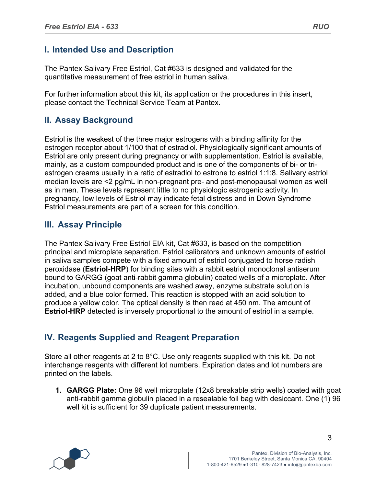## **I. Intended Use and Description**

The Pantex Salivary Free Estriol, Cat #633 is designed and validated for the quantitative measurement of free estriol in human saliva.

For further information about this kit, its application or the procedures in this insert, please contact the Technical Service Team at Pantex.

# **II. Assay Background**

Estriol is the weakest of the three major estrogens with a binding affinity for the estrogen receptor about 1/100 that of estradiol. Physiologically significant amounts of Estriol are only present during pregnancy or with supplementation. Estriol is available, mainly, as a custom compounded product and is one of the components of bi- or triestrogen creams usually in a ratio of estradiol to estrone to estriol 1:1:8. Salivary estriol median levels are <2 pg/mL in non-pregnant pre- and post-menopausal women as well as in men. These levels represent little to no physiologic estrogenic activity. In pregnancy, low levels of Estriol may indicate fetal distress and in Down Syndrome Estriol measurements are part of a screen for this condition.

# **III. Assay Principle**

The Pantex Salivary Free Estriol EIA kit, Cat #633, is based on the competition principal and microplate separation. Estriol calibrators and unknown amounts of estriol in saliva samples compete with a fixed amount of estriol conjugated to horse radish peroxidase (**Estriol-HRP**) for binding sites with a rabbit estriol monoclonal antiserum bound to GARGG (goat anti-rabbit gamma globulin) coated wells of a microplate. After incubation, unbound components are washed away, enzyme substrate solution is added, and a blue color formed. This reaction is stopped with an acid solution to produce a yellow color. The optical density is then read at 450 nm. The amount of **Estriol-HRP** detected is inversely proportional to the amount of estriol in a sample.

# **IV. Reagents Supplied and Reagent Preparation**

Store all other reagents at 2 to 8°C. Use only reagents supplied with this kit. Do not interchange reagents with different lot numbers. Expiration dates and lot numbers are printed on the labels.

**1. GARGG Plate:** One 96 well microplate (12x8 breakable strip wells) coated with goat anti-rabbit gamma globulin placed in a resealable foil bag with desiccant. One (1) 96 well kit is sufficient for 39 duplicate patient measurements.

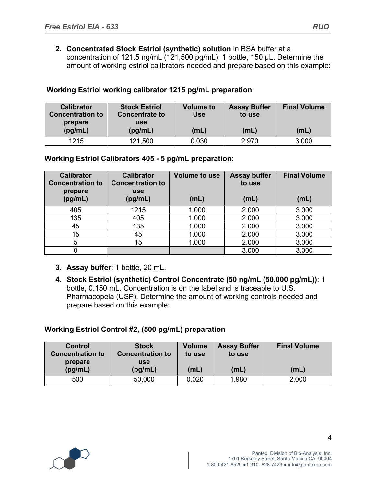**2. Concentrated Stock Estriol (synthetic) solution** in BSA buffer at a concentration of 121.5 ng/mL (121,500 pg/mL): 1 bottle, 150 µL. Determine the amount of working estriol calibrators needed and prepare based on this example:

| <b>Calibrator</b><br><b>Concentration to</b><br>prepare | <b>Stock Estriol</b><br><b>Concentrate to</b><br>use | <b>Volume to</b><br>Use | <b>Assay Buffer</b><br>to use | <b>Final Volume</b> |
|---------------------------------------------------------|------------------------------------------------------|-------------------------|-------------------------------|---------------------|
| (pg/mL)                                                 | (pg/mL)                                              | (mL)                    | (mL)                          | (mL)                |
| 1215                                                    | 121,500                                              | 0.030                   | 2.970                         | 3.000               |

### **Working Estriol working calibrator 1215 pg/mL preparation**:

#### **Working Estriol Calibrators 405 - 5 pg/mL preparation:**

| <b>Calibrator</b><br><b>Concentration to</b><br>prepare<br>(pg/mL) | <b>Calibrator</b><br><b>Concentration to</b><br><b>use</b><br>(pg/mL) | <b>Volume to use</b><br>(mL) | <b>Assay buffer</b><br>to use<br>(mL) | <b>Final Volume</b><br>(mL) |
|--------------------------------------------------------------------|-----------------------------------------------------------------------|------------------------------|---------------------------------------|-----------------------------|
| 405                                                                | 1215                                                                  | 1.000                        | 2.000                                 | 3.000                       |
| 135                                                                | 405                                                                   | 1.000                        | 2.000                                 | 3.000                       |
| 45                                                                 | 135                                                                   | 1.000                        | 2.000                                 | 3.000                       |
| 15                                                                 | 45                                                                    | 1.000                        | 2.000                                 | 3.000                       |
| 5                                                                  | 15                                                                    | 1.000                        | 2.000                                 | 3.000                       |
|                                                                    |                                                                       |                              | 3.000                                 | 3.000                       |

- **3. Assay buffer**: 1 bottle, 20 mL.
- **4. Stock Estriol (synthetic) Control Concentrate (50 ng/mL (50,000 pg/mL))**: 1 bottle, 0.150 mL. Concentration is on the label and is traceable to U.S. Pharmacopeia (USP). Determine the amount of working controls needed and prepare based on this example:

#### **Working Estriol Control #2, (500 pg/mL) preparation**

| Control<br><b>Concentration to</b><br>prepare | <b>Stock</b><br><b>Concentration to</b><br><b>use</b> | <b>Volume</b><br>to use | <b>Assay Buffer</b><br>to use | <b>Final Volume</b> |
|-----------------------------------------------|-------------------------------------------------------|-------------------------|-------------------------------|---------------------|
| (pg/mL)                                       | (pg/mL)                                               | (mL)                    | (mL)                          | (mL)                |
| 500                                           | 50,000                                                | 0.020                   | 1.980                         | 2.000               |

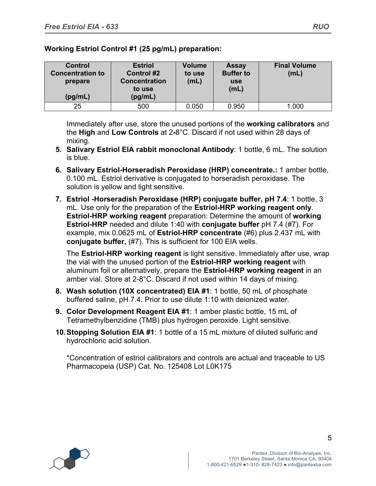| <b>Control</b><br><b>Concentration to</b><br>prepare<br>(pg/mL) | <b>Estriol</b><br><b>Control #2</b><br><b>Concentration</b><br>to use<br>(pg/mL) | <b>Volume</b><br>to use<br>(mL) | <b>Assay</b><br><b>Buffer to</b><br><b>use</b><br>(mL) | <b>Final Volume</b><br>(mL) |
|-----------------------------------------------------------------|----------------------------------------------------------------------------------|---------------------------------|--------------------------------------------------------|-----------------------------|
| 25                                                              | 500                                                                              | 0.050                           | 0.950                                                  | 1.000                       |

**Working Estriol Control #1 (25 pg/mL) preparation:**

Immediately after use, store the unused portions of the **working calibrators** and the **High** and **Low Controls** at 2**-**8°C. Discard if not used within 28 days of mixing.

- **5. Salivary Estriol EIA rabbit monoclonal Antibody**: 1 bottle, 6 mL. The solution is blue.
- **6. Salivary Estriol-Horseradish Peroxidase (HRP) concentrate.:** 1 amber bottle, 0.100 mL. Estriol derivative is conjugated to horseradish peroxidase. The solution is yellow and light sensitive.
- **7. Estriol -Horseradish Peroxidase (HRP) conjugate buffer, pH 7.4**: 1 bottle, 3 mL. Use only for the preparation of the **Estriol-HRP working reagent only**. **Estriol-HRP working reagent** preparation: Determine the amount of **working Estriol-HRP** needed and dilute 1:40 with **conjugate buffer** pH 7.4 (#7). For example, mix 0.0625 mL of **Estriol-HRP concentrate** (#6) plus 2.437 mL with **conjugate buffer,** (#7). This is sufficient for 100 EIA wells.

The **Estriol-HRP working reagent** is light sensitive. Immediately after use, wrap the vial with the unused portion of the **Estriol-HRP working reagent** with aluminum foil or alternatively, prepare the **Estriol-HRP working reagent** in an amber vial. Store at 2-8°C. Discard if not used within 14 days of mixing.

- **8. Wash solution (10X concentrated) EIA #1**: 1 bottle, 50 mL of phosphate buffered saline, pH 7.4. Prior to use dilute 1:10 with deionized water.
- **9. Color Development Reagent EIA #1**: 1 amber plastic bottle, 15 mL of Tetramethylbenzidine (TMB) plus hydrogen peroxide. Light sensitive.
- **10.Stopping Solution EIA #1**: 1 bottle of a 15 mL mixture of diluted sulfuric and hydrochloric acid solution.

\*Concentration of estriol calibrators and controls are actual and traceable to US Pharmacopeia (USP) Cat. No. 125408 Lot L0K175

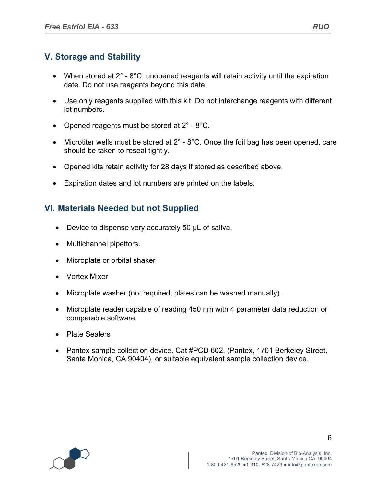# **V. Storage and Stability**

- When stored at  $2^\circ$   $8^\circ$ C, unopened reagents will retain activity until the expiration date. Do not use reagents beyond this date.
- Use only reagents supplied with this kit. Do not interchange reagents with different lot numbers.
- Opened reagents must be stored at  $2^{\circ}$  8°C.
- Microtiter wells must be stored at  $2^\circ$   $8^\circ$ C. Once the foil bag has been opened, care should be taken to reseal tightly.
- Opened kits retain activity for 28 days if stored as described above.
- Expiration dates and lot numbers are printed on the labels.

# **VI. Materials Needed but not Supplied**

- Device to dispense very accurately 50 µL of saliva.
- Multichannel pipettors.
- Microplate or orbital shaker
- Vortex Mixer
- Microplate washer (not required, plates can be washed manually).
- Microplate reader capable of reading 450 nm with 4 parameter data reduction or comparable software.
- Plate Sealers
- Pantex sample collection device, Cat #PCD 602. (Pantex, 1701 Berkeley Street, Santa Monica, CA 90404), or suitable equivalent sample collection device.

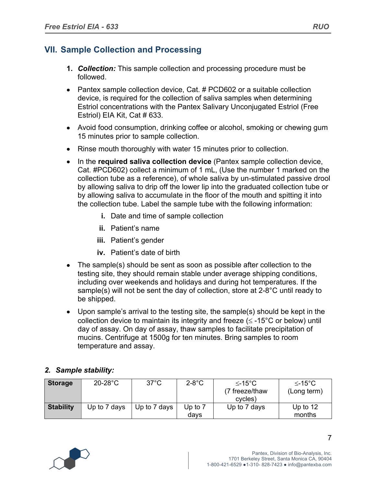## **VII. Sample Collection and Processing**

- **1.** *Collection:* This sample collection and processing procedure must be followed.
- Pantex sample collection device, Cat. # PCD602 or a suitable collection device, is required for the collection of saliva samples when determining Estriol concentrations with the Pantex Salivary Unconjugated Estriol (Free Estriol) EIA Kit, Cat # 633.
- Avoid food consumption, drinking coffee or alcohol, smoking or chewing gum 15 minutes prior to sample collection.
- Rinse mouth thoroughly with water 15 minutes prior to collection.
- In the **required saliva collection device** (Pantex sample collection device, Cat. #PCD602) collect a minimum of 1 mL, (Use the number 1 marked on the collection tube as a reference), of whole saliva by un-stimulated passive drool by allowing saliva to drip off the lower lip into the graduated collection tube or by allowing saliva to accumulate in the floor of the mouth and spitting it into the collection tube. Label the sample tube with the following information:
	- **i.** Date and time of sample collection
	- **ii.** Patient's name
	- **iii.** Patient's gender
	- **iv.** Patient's date of birth
- The sample(s) should be sent as soon as possible after collection to the testing site, they should remain stable under average shipping conditions, including over weekends and holidays and during hot temperatures. If the sample(s) will not be sent the day of collection, store at 2-8°C until ready to be shipped.
- Upon sample's arrival to the testing site, the sample(s) should be kept in the collection device to maintain its integrity and freeze ( $\leq$  -15°C or below) until day of assay. On day of assay, thaw samples to facilitate precipitation of mucins. Centrifuge at 1500g for ten minutes. Bring samples to room temperature and assay.

## *2. Sample stability:*

| <b>Storage</b>   | $20-28$ °C   | $37^{\circ}$ C | $2-8$ °C          | $\leq$ -15°C<br>(7 freeze/thaw<br>cycles) | $≤-15^{\circ}C$<br>(Long term) |
|------------------|--------------|----------------|-------------------|-------------------------------------------|--------------------------------|
| <b>Stability</b> | Up to 7 days | Up to 7 days   | Up to $7$<br>davs | Up to 7 days                              | Up to $12$<br>months           |

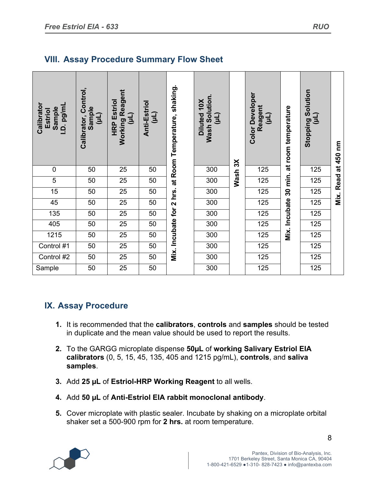| Calibrator<br>I.D. pg/ml<br>Sample<br>Estriol | Calibrator, Control,<br>Sample<br>(Jm) | <b>Working Reagent</b><br><b>HRP Estriol</b><br>(L1) | Anti-Estriol<br>(11) | Mix. Incubate for 2 hrs. at Room Temperature, shaking. | Wash Solution.<br>Diluted 10X<br>(11) |                     | <b>Color Developer</b><br>Reagent<br>(11) | Mix. Incubate 30 min. at room temperature | <b>Stopping Solution</b><br>(Tn) | Mix. Read at 450 nm |
|-----------------------------------------------|----------------------------------------|------------------------------------------------------|----------------------|--------------------------------------------------------|---------------------------------------|---------------------|-------------------------------------------|-------------------------------------------|----------------------------------|---------------------|
| $\mathbf 0$                                   | 50                                     | 25                                                   | 50                   |                                                        | 300                                   |                     | 125                                       |                                           | 125                              |                     |
| 5                                             | 50                                     | 25                                                   | 50                   |                                                        | 300                                   | Wash <sub>3</sub> X | 125                                       |                                           | 125                              |                     |
| 15                                            | 50                                     | 25                                                   | 50                   |                                                        | 300                                   |                     | 125                                       |                                           | 125                              |                     |
| 45                                            | 50                                     | 25                                                   | 50                   |                                                        | 300                                   |                     | 125                                       |                                           | 125                              |                     |
| 135                                           | 50                                     | 25                                                   | 50                   |                                                        | 300                                   |                     | 125                                       |                                           | 125                              |                     |
| 405                                           | 50                                     | 25                                                   | 50                   |                                                        | 300                                   |                     | 125                                       |                                           | 125                              |                     |
| 1215                                          | 50                                     | 25                                                   | 50                   |                                                        | 300                                   |                     | 125                                       |                                           | 125                              |                     |
| Control #1                                    | 50                                     | 25                                                   | 50                   |                                                        | 300                                   |                     | 125                                       |                                           | 125                              |                     |
| Control #2                                    | 50                                     | $\overline{25}$                                      | 50                   |                                                        | 300                                   |                     | 125                                       |                                           | 125                              |                     |
| Sample                                        | 50                                     | $\overline{25}$                                      | 50                   |                                                        | 300                                   |                     | 125                                       |                                           | 125                              |                     |

# **VIII. Assay Procedure Summary Flow Sheet**

# **IX. Assay Procedure**

- **1.** It is recommended that the **calibrators**, **controls** and **samples** should be tested in duplicate and the mean value should be used to report the results.
- **2.** To the GARGG microplate dispense **50µL** of **working Salivary Estriol EIA calibrators** (0, 5, 15, 45, 135, 405 and 1215 pg/mL), **controls**, and **saliva samples**.
- **3.** Add **25 µL** of **Estriol-HRP Working Reagent** to all wells.
- **4.** Add **50 µL** of **Anti-Estriol EIA rabbit monoclonal antibody**.
- **5.** Cover microplate with plastic sealer. Incubate by shaking on a microplate orbital shaker set a 500-900 rpm for **2 hrs.** at room temperature.

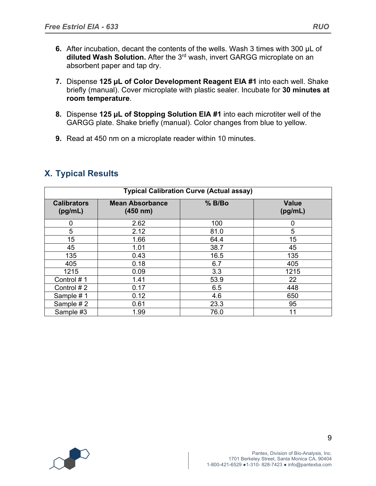- **6.** After incubation, decant the contents of the wells. Wash 3 times with 300 µL of diluted Wash Solution. After the 3<sup>rd</sup> wash, invert GARGG microplate on an absorbent paper and tap dry.
- **7.** Dispense **125 µL of Color Development Reagent EIA #1** into each well. Shake briefly (manual). Cover microplate with plastic sealer. Incubate for **30 minutes at room temperature**.
- **8.** Dispense **125 µL of Stopping Solution EIA #1** into each microtiter well of the GARGG plate. Shake briefly (manual). Color changes from blue to yellow.
- **9.** Read at 450 nm on a microplate reader within 10 minutes.

| <b>X. Typical Results</b> |  |
|---------------------------|--|
|---------------------------|--|

| <b>Typical Calibration Curve (Actual assay)</b> |                                    |          |                         |  |
|-------------------------------------------------|------------------------------------|----------|-------------------------|--|
| <b>Calibrators</b><br>(pg/mL)                   | <b>Mean Absorbance</b><br>(450 nm) | $%$ B/Bo | <b>Value</b><br>(pg/mL) |  |
| 0                                               | 2.62                               | 100      | 0                       |  |
| 5                                               | 2.12                               | 81.0     | 5                       |  |
| 15                                              | 1.66                               | 64.4     | 15                      |  |
| 45                                              | 1.01                               | 38.7     | 45                      |  |
| 135                                             | 0.43                               | 16.5     | 135                     |  |
| 405                                             | 0.18                               | 6.7      | 405                     |  |
| 1215                                            | 0.09                               | 3.3      | 1215                    |  |
| Control #1                                      | 1.41                               | 53.9     | 22                      |  |
| Control #2                                      | 0.17                               | 6.5      | 448                     |  |
| Sample #1                                       | 0.12                               | 4.6      | 650                     |  |
| Sample #2                                       | 0.61                               | 23.3     | 95                      |  |
| Sample #3                                       | 1.99                               | 76.0     | 11                      |  |

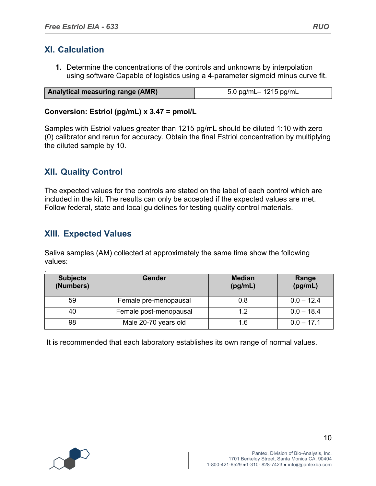## **XI. Calculation**

**1.** Determine the concentrations of the controls and unknowns by interpolation using software Capable of logistics using a 4-parameter sigmoid minus curve fit.

| <b>Analytical measuring range (AMR)</b> | 5.0 pg/mL- 1215 pg/mL |
|-----------------------------------------|-----------------------|

#### **Conversion: Estriol (pg/mL) x 3.47 = pmol/L**

Samples with Estriol values greater than 1215 pg/mL should be diluted 1:10 with zero (0) calibrator and rerun for accuracy. Obtain the final Estriol concentration by multiplying the diluted sample by 10.

## **XII. Quality Control**

The expected values for the controls are stated on the label of each control which are included in the kit. The results can only be accepted if the expected values are met. Follow federal, state and local guidelines for testing quality control materials.

## **XIII. Expected Values**

Saliva samples (AM) collected at approximately the same time show the following values:

| <b>Subjects</b><br>(Numbers) | Gender                 | <b>Median</b><br>(pg/mL) | Range<br>(pg/mL) |
|------------------------------|------------------------|--------------------------|------------------|
| 59                           | Female pre-menopausal  | 0.8                      | $0.0 - 12.4$     |
| 40                           | Female post-menopausal | 1.2                      | $0.0 - 18.4$     |
| 98                           | Male 20-70 years old   | 1.6                      | $0.0 - 17.1$     |

It is recommended that each laboratory establishes its own range of normal values.

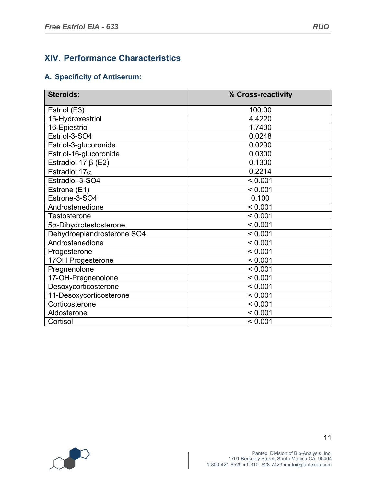# **XIV. Performance Characteristics**

## **A. Specificity of Antiserum:**

| <b>Steroids:</b>               | % Cross-reactivity |
|--------------------------------|--------------------|
| Estriol (E3)                   | 100.00             |
| 15-Hydroxestriol               | 4.4220             |
| 16-Epiestriol                  | 1.7400             |
| Estriol-3-SO4                  | 0.0248             |
| Estriol-3-glucoronide          | 0.0290             |
| Estriol-16-glucoronide         | 0.0300             |
| Estradiol 17 $\beta$ (E2)      | 0.1300             |
| Estradiol 17 $\alpha$          | 0.2214             |
| Estradiol-3-SO4                | < 0.001            |
| Estrone (E1)                   | < 0.001            |
| Estrone-3-SO4                  | 0.100              |
| Androstenedione                | < 0.001            |
| Testosterone                   | < 0.001            |
| $5\alpha$ -Dihydrotestosterone | < 0.001            |
| Dehydroepiandrosterone SO4     | < 0.001            |
| Androstanedione                | < 0.001            |
| Progesterone                   | < 0.001            |
| 17OH Progesterone              | < 0.001            |
| Pregnenolone                   | < 0.001            |
| 17-OH-Pregnenolone             | < 0.001            |
| Desoxycorticosterone           | < 0.001            |
| 11-Desoxycorticosterone        | < 0.001            |
| Corticosterone                 | < 0.001            |
| Aldosterone                    | < 0.001            |
| Cortisol                       | < 0.001            |

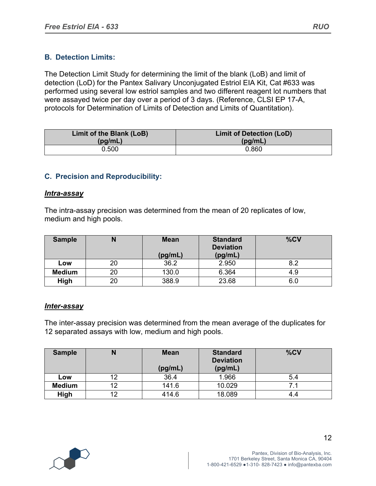## **B. Detection Limits:**

The Detection Limit Study for determining the limit of the blank (LoB) and limit of detection (LoD) for the Pantex Salivary Unconjugated Estriol EIA Kit, Cat #633 was performed using several low estriol samples and two different reagent lot numbers that were assayed twice per day over a period of 3 days. (Reference, CLSI EP 17-A, protocols for Determination of Limits of Detection and Limits of Quantitation).

| Limit of the Blank (LoB) | <b>Limit of Detection (LoD)</b> |  |  |
|--------------------------|---------------------------------|--|--|
| (pg/mL)                  | (pg/mL)                         |  |  |
| 0.500                    | 0.860                           |  |  |

## **C. Precision and Reproducibility:**

#### *Intra-assay*

The intra-assay precision was determined from the mean of 20 replicates of low, medium and high pools.

| <b>Sample</b> |    | <b>Mean</b> | <b>Standard</b><br><b>Deviation</b> | %CV |  |
|---------------|----|-------------|-------------------------------------|-----|--|
|               |    | (pg/mL)     | (pg/mL)                             |     |  |
| Low           | 20 | 36.2        | 2.950                               | 8.2 |  |
| <b>Medium</b> | 20 | 130.0       | 6.364                               | 4.9 |  |
| High          | 20 | 388.9       | 23.68                               | 6.0 |  |

#### *Inter-assay*

The inter-assay precision was determined from the mean average of the duplicates for 12 separated assays with low, medium and high pools.

| <b>Sample</b> | N  | <b>Mean</b><br>(pg/mL) | <b>Standard</b><br><b>Deviation</b><br>(pg/mL) | %CV |
|---------------|----|------------------------|------------------------------------------------|-----|
| Low           | 12 | 36.4                   | 1.966                                          | 5.4 |
| <b>Medium</b> | 12 | 141.6                  | 10.029                                         |     |
| High          | 12 | 414.6                  | 18.089                                         | 4.4 |

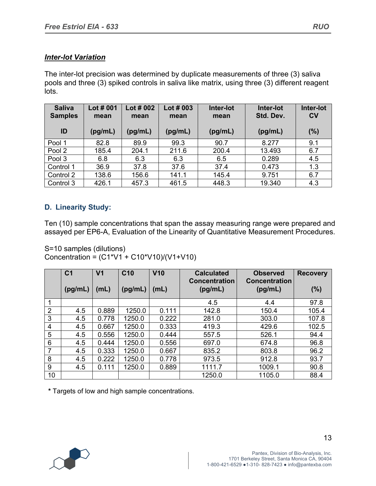## *Inter-lot Variation*

The inter-lot precision was determined by duplicate measurements of three (3) saliva pools and three (3) spiked controls in saliva like matrix, using three (3) different reagent lots.

| <b>Saliva</b><br><b>Samples</b> | Lot $#001$<br>mean | Lot $#002$<br>mean | Lot $#003$<br>mean | Inter-lot<br>mean | Inter-lot<br>Std. Dev. | Inter-lot<br>$c_{V}$ |
|---------------------------------|--------------------|--------------------|--------------------|-------------------|------------------------|----------------------|
| ID                              | (pg/mL)            | (pg/mL)            | (pg/mL)            | (pg/mL)           | (pg/mL)                | (%)                  |
| Pool 1                          | 82.8               | 89.9               | 99.3               | 90.7              | 8.277                  | 9.1                  |
| Pool 2                          | 185.4              | 204.1              | 211.6              | 200.4             | 13.493                 | 6.7                  |
| Pool 3                          | 6.8                | 6.3                | 6.3                | 6.5               | 0.289                  | 4.5                  |
| Control 1                       | 36.9               | 37.8               | 37.6               | 37.4              | 0.473                  | 1.3                  |
| Control 2                       | 138.6              | 156.6              | 141.1              | 145.4             | 9.751                  | 6.7                  |
| Control 3                       | 426.1              | 457.3              | 461.5              | 448.3             | 19.340                 | 4.3                  |

## **D. Linearity Study:**

Ten (10) sample concentrations that span the assay measuring range were prepared and assayed per EP6-A, Evaluation of the Linearity of Quantitative Measurement Procedures.

S=10 samples (dilutions) Concentration =  $(C1*V1 + C10*V10)/(V1+V10)$ 

|                | C <sub>1</sub> | V <sub>1</sub> | C <sub>10</sub> | V10   | <b>Calculated</b><br><b>Concentration</b> | <b>Observed</b><br><b>Concentration</b> | <b>Recovery</b> |
|----------------|----------------|----------------|-----------------|-------|-------------------------------------------|-----------------------------------------|-----------------|
|                | (pg/mL)        | (mL)           | (pg/mL)         | (mL)  | (pg/mL)                                   | (pg/mL)                                 | (%)             |
| $\mathbf{1}$   |                |                |                 |       | 4.5                                       | 4.4                                     | 97.8            |
| $\overline{2}$ | 4.5            | 0.889          | 1250.0          | 0.111 | 142.8                                     | 150.4                                   | 105.4           |
| 3              | 4.5            | 0.778          | 1250.0          | 0.222 | 281.0                                     | 303.0                                   | 107.8           |
| 4              | 4.5            | 0.667          | 1250.0          | 0.333 | 419.3                                     | 429.6                                   | 102.5           |
| 5              | 4.5            | 0.556          | 1250.0          | 0.444 | 557.5                                     | 526.1                                   | 94.4            |
| 6              | 4.5            | 0.444          | 1250.0          | 0.556 | 697.0                                     | 674.8                                   | 96.8            |
| 7              | 4.5            | 0.333          | 1250.0          | 0.667 | 835.2                                     | 803.8                                   | 96.2            |
| 8              | 4.5            | 0.222          | 1250.0          | 0.778 | 973.5                                     | 912.8                                   | 93.7            |
| 9              | 4.5            | 0.111          | 1250.0          | 0.889 | 1111.7                                    | 1009.1                                  | 90.8            |
| 10             |                |                |                 |       | 1250.0                                    | 1105.0                                  | 88.4            |

 **\*** Targets of low and high sample concentrations.

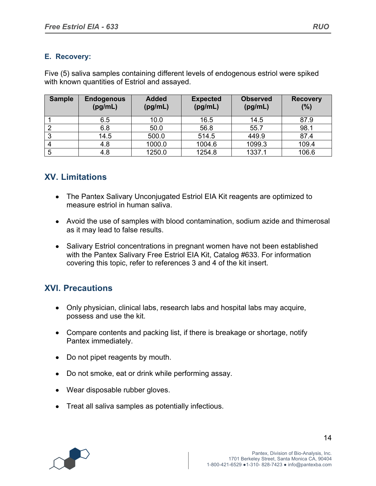## **E. Recovery:**

Five (5) saliva samples containing different levels of endogenous estriol were spiked with known quantities of Estriol and assayed.

| <b>Sample</b> | <b>Endogenous</b><br>(pg/mL) | <b>Added</b><br>(pg/mL) | <b>Expected</b><br>(pg/mL) | <b>Observed</b><br>(pg/mL) | <b>Recovery</b><br>(%) |
|---------------|------------------------------|-------------------------|----------------------------|----------------------------|------------------------|
|               | 6.5                          | 10.0                    | 16.5                       | 14.5                       | 87.9                   |
|               | 6.8                          | 50.0                    | 56.8                       | 55.7                       | 98.1                   |
| 3             | 14.5                         | 500.0                   | 514.5                      | 449.9                      | 87.4                   |
| 4             | 4.8                          | 1000.0                  | 1004.6                     | 1099.3                     | 109.4                  |
| 5             | 4.8                          | 1250.0                  | 1254.8                     | 1337.1                     | 106.6                  |

# **XV. Limitations**

- The Pantex Salivary Unconjugated Estriol EIA Kit reagents are optimized to measure estriol in human saliva.
- Avoid the use of samples with blood contamination, sodium azide and thimerosal as it may lead to false results.
- Salivary Estriol concentrations in pregnant women have not been established with the Pantex Salivary Free Estriol EIA Kit, Catalog #633. For information covering this topic, refer to references 3 and 4 of the kit insert.

# **XVI. Precautions**

- Only physician, clinical labs, research labs and hospital labs may acquire, possess and use the kit.
- Compare contents and packing list, if there is breakage or shortage, notify Pantex immediately.
- Do not pipet reagents by mouth.
- Do not smoke, eat or drink while performing assay.
- Wear disposable rubber gloves.
- Treat all saliva samples as potentially infectious.